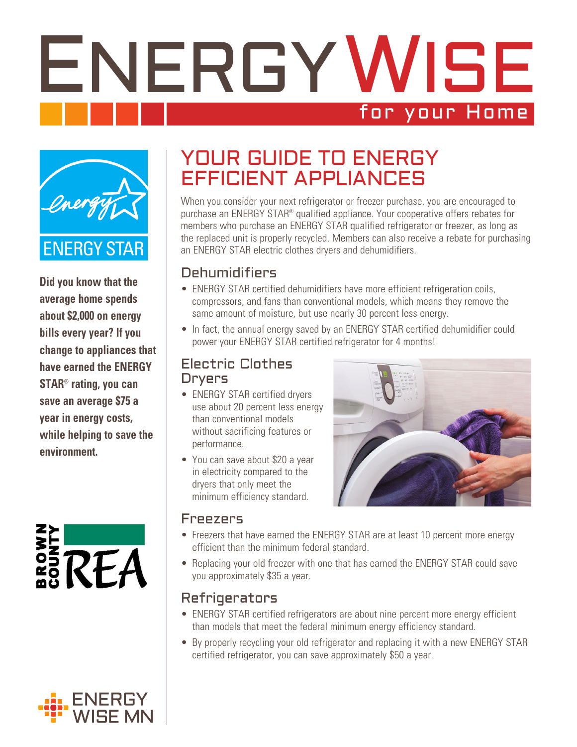# ENERGYWISE for your Home



**Did you know that the average home spends about \$2,000 on energy bills every year? If you change to appliances that have earned the ENERGY STAR® rating, you can save an average \$75 a year in energy costs, while helping to save the environment.**

# RFA

### YOUR GUIDE TO ENERGY EFFICIENT APPLIANCES

When you consider your next refrigerator or freezer purchase, you are encouraged to purchase an ENERGY STAR® qualified appliance. Your cooperative offers rebates for members who purchase an ENERGY STAR qualified refrigerator or freezer, as long as the replaced unit is properly recycled. Members can also receive a rebate for purchasing an ENERGY STAR electric clothes dryers and dehumidifiers.

#### Dehumidifiers

- ENERGY STAR certified dehumidifiers have more efficient refrigeration coils, compressors, and fans than conventional models, which means they remove the same amount of moisture, but use nearly 30 percent less energy.
- In fact, the annual energy saved by an ENERGY STAR certified dehumidifier could power your ENERGY STAR certified refrigerator for 4 months!

#### Electric Clothes Dryers

- ENERGY STAR certified dryers use about 20 percent less energy than conventional models without sacrificing features or performance.
- You can save about \$20 a year in electricity compared to the dryers that only meet the minimum efficiency standard.



#### Freezers

- Freezers that have earned the ENERGY STAR are at least 10 percent more energy efficient than the minimum federal standard.
- Replacing your old freezer with one that has earned the ENERGY STAR could save you approximately \$35 a year.

#### Refrigerators

- ENERGY STAR certified refrigerators are about nine percent more energy efficient than models that meet the federal minimum energy efficiency standard.
- By properly recycling your old refrigerator and replacing it with a new ENERGY STAR certified refrigerator, you can save approximately \$50 a year.